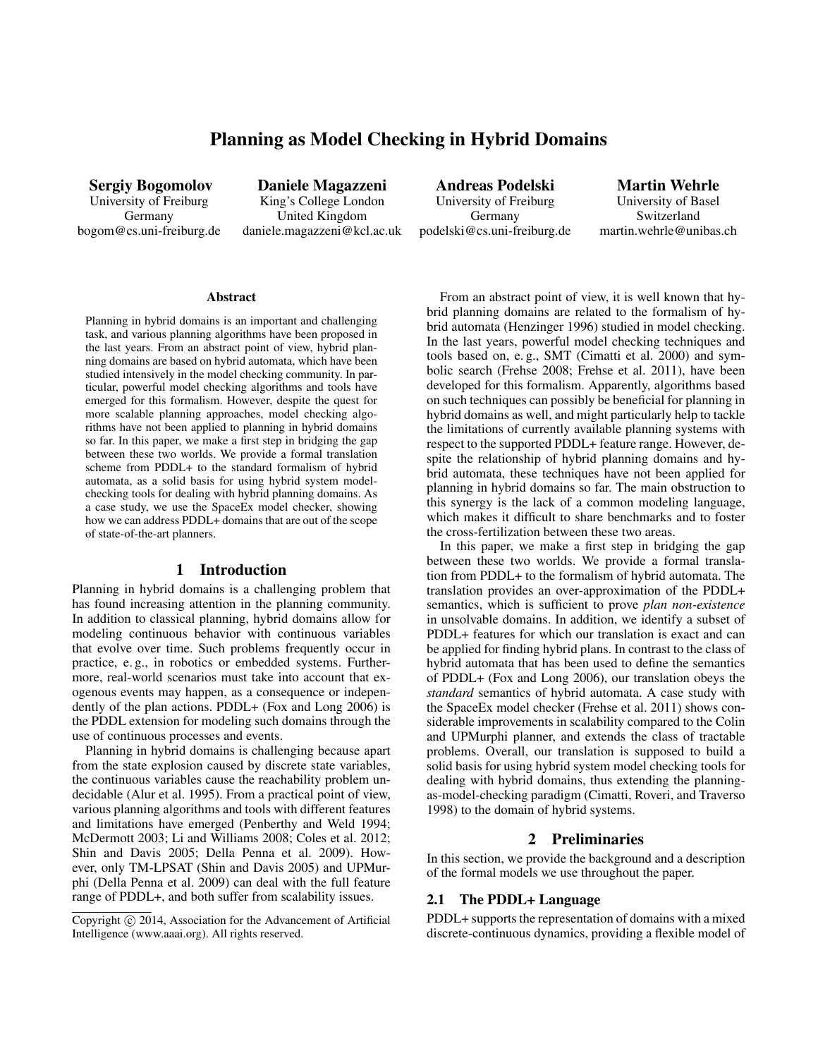# Planning as Model Checking in Hybrid Domains

Sergiy Bogomolov University of Freiburg Germany bogom@cs.uni-freiburg.de

Daniele Magazzeni King's College London United Kingdom daniele.magazzeni@kcl.ac.uk

Andreas Podelski University of Freiburg Germany podelski@cs.uni-freiburg.de

Martin Wehrle University of Basel Switzerland martin.wehrle@unibas.ch

#### Abstract

Planning in hybrid domains is an important and challenging task, and various planning algorithms have been proposed in the last years. From an abstract point of view, hybrid planning domains are based on hybrid automata, which have been studied intensively in the model checking community. In particular, powerful model checking algorithms and tools have emerged for this formalism. However, despite the quest for more scalable planning approaches, model checking algorithms have not been applied to planning in hybrid domains so far. In this paper, we make a first step in bridging the gap between these two worlds. We provide a formal translation scheme from PDDL+ to the standard formalism of hybrid automata, as a solid basis for using hybrid system modelchecking tools for dealing with hybrid planning domains. As a case study, we use the SpaceEx model checker, showing how we can address PDDL+ domains that are out of the scope of state-of-the-art planners.

# 1 Introduction

Planning in hybrid domains is a challenging problem that has found increasing attention in the planning community. In addition to classical planning, hybrid domains allow for modeling continuous behavior with continuous variables that evolve over time. Such problems frequently occur in practice, e. g., in robotics or embedded systems. Furthermore, real-world scenarios must take into account that exogenous events may happen, as a consequence or independently of the plan actions. PDDL+ (Fox and Long 2006) is the PDDL extension for modeling such domains through the use of continuous processes and events.

Planning in hybrid domains is challenging because apart from the state explosion caused by discrete state variables, the continuous variables cause the reachability problem undecidable (Alur et al. 1995). From a practical point of view, various planning algorithms and tools with different features and limitations have emerged (Penberthy and Weld 1994; McDermott 2003; Li and Williams 2008; Coles et al. 2012; Shin and Davis 2005; Della Penna et al. 2009). However, only TM-LPSAT (Shin and Davis 2005) and UPMurphi (Della Penna et al. 2009) can deal with the full feature range of PDDL+, and both suffer from scalability issues.

From an abstract point of view, it is well known that hybrid planning domains are related to the formalism of hybrid automata (Henzinger 1996) studied in model checking. In the last years, powerful model checking techniques and tools based on, e. g., SMT (Cimatti et al. 2000) and symbolic search (Frehse 2008; Frehse et al. 2011), have been developed for this formalism. Apparently, algorithms based on such techniques can possibly be beneficial for planning in hybrid domains as well, and might particularly help to tackle the limitations of currently available planning systems with respect to the supported PDDL+ feature range. However, despite the relationship of hybrid planning domains and hybrid automata, these techniques have not been applied for planning in hybrid domains so far. The main obstruction to this synergy is the lack of a common modeling language, which makes it difficult to share benchmarks and to foster the cross-fertilization between these two areas.

In this paper, we make a first step in bridging the gap between these two worlds. We provide a formal translation from PDDL+ to the formalism of hybrid automata. The translation provides an over-approximation of the PDDL+ semantics, which is sufficient to prove *plan non-existence* in unsolvable domains. In addition, we identify a subset of PDDL+ features for which our translation is exact and can be applied for finding hybrid plans. In contrast to the class of hybrid automata that has been used to define the semantics of PDDL+ (Fox and Long 2006), our translation obeys the *standard* semantics of hybrid automata. A case study with the SpaceEx model checker (Frehse et al. 2011) shows considerable improvements in scalability compared to the Colin and UPMurphi planner, and extends the class of tractable problems. Overall, our translation is supposed to build a solid basis for using hybrid system model checking tools for dealing with hybrid domains, thus extending the planningas-model-checking paradigm (Cimatti, Roveri, and Traverso 1998) to the domain of hybrid systems.

#### 2 Preliminaries

In this section, we provide the background and a description of the formal models we use throughout the paper.

### 2.1 The PDDL+ Language

PDDL+ supports the representation of domains with a mixed discrete-continuous dynamics, providing a flexible model of

Copyright  $\odot$  2014, Association for the Advancement of Artificial Intelligence (www.aaai.org). All rights reserved.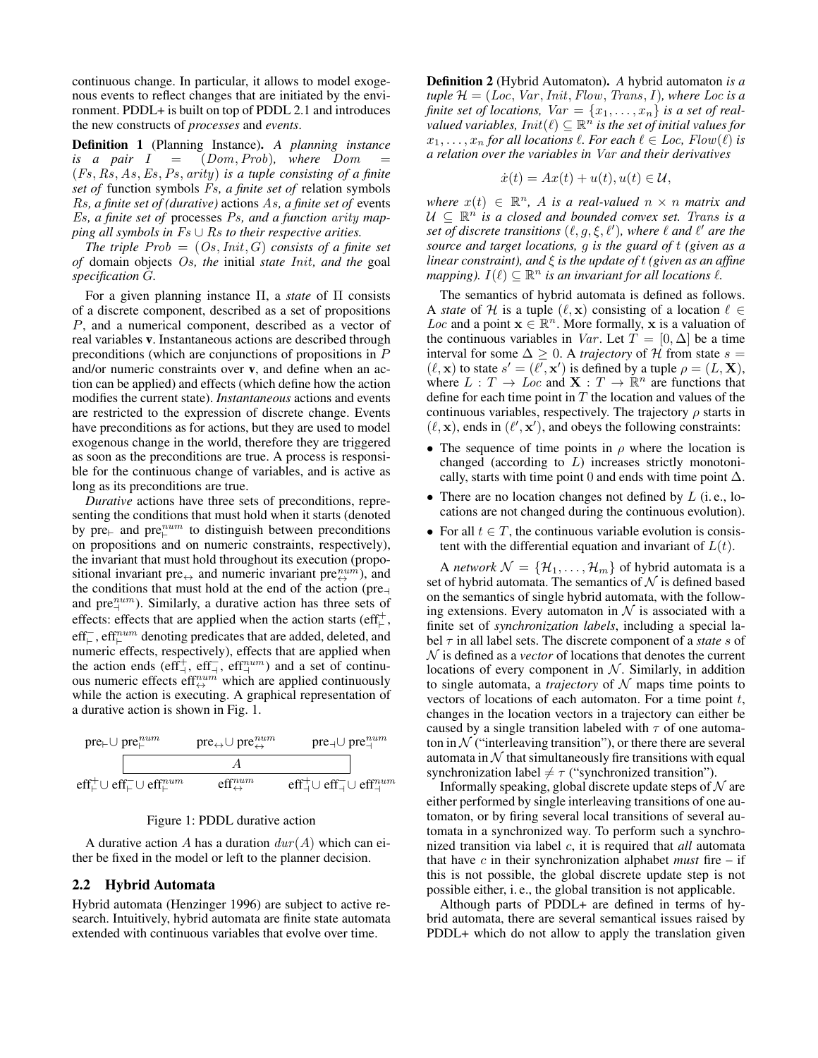continuous change. In particular, it allows to model exogenous events to reflect changes that are initiated by the environment. PDDL+ is built on top of PDDL 2.1 and introduces the new constructs of *processes* and *events*.

Definition 1 (Planning Instance). *A planning instance is a pair*  $I = (Dom, Prob)$ *, where*  $Dom$ (Fs, Rs, As,Es,Ps, arity) *is a tuple consisting of a finite set of* function symbols Fs*, a finite set of* relation symbols Rs*, a finite set of (durative)* actions As*, a finite set of* events Es*, a finite set of* processes Ps*, and a function* arity *mapping all symbols in Fs* ∪ Rs *to their respective arities.* 

*The triple*  $Prob = (Os,Init, G)$  *consists of a finite set of* domain objects Os*, the* initial *state* Init*, and the* goal *specification* G*.*

For a given planning instance Π, a *state* of Π consists of a discrete component, described as a set of propositions P, and a numerical component, described as a vector of real variables v. Instantaneous actions are described through preconditions (which are conjunctions of propositions in P and/or numeric constraints over v, and define when an action can be applied) and effects (which define how the action modifies the current state). *Instantaneous* actions and events are restricted to the expression of discrete change. Events have preconditions as for actions, but they are used to model exogenous change in the world, therefore they are triggered as soon as the preconditions are true. A process is responsible for the continuous change of variables, and is active as long as its preconditions are true.

*Durative* actions have three sets of preconditions, representing the conditions that must hold when it starts (denoted by pre $\vdash$  and pre $\overset{num}{\vdash}$  to distinguish between preconditions on propositions and on numeric constraints, respectively), the invariant that must hold throughout its execution (propositional invariant pre<sub> $\leftrightarrow$ </sub> and numeric invariant pre $_{\leftrightarrow}^{num}$ ), and the conditions that must hold at the end of the action (pre $\neg$ and pre $_{\perp}^{num}$ ). Similarly, a durative action has three sets of effects: effects that are applied when the action starts (eff<sup>+</sup>,  $\text{eff}^{\text{--}}_{\vdash}$  ,  $\text{eff}^{num}_{\vdash}$  denoting predicates that are added, deleted, and numeric effects, respectively), effects that are applied when the action ends (eff<sup>+</sup><sub>+</sub>, eff<sup>-</sup><sub>+</sub>, eff<sup>-1</sup><sub>+</sub>m<sup>-</sup>) and a set of continuous numeric effects eff $\mathfrak{m}^{num}$  which are applied continuously while the action is executing. A graphical representation of a durative action is shown in Fig. 1.



#### Figure 1: PDDL durative action

A durative action A has a duration  $dur(A)$  which can either be fixed in the model or left to the planner decision.

#### 2.2 Hybrid Automata

Hybrid automata (Henzinger 1996) are subject to active research. Intuitively, hybrid automata are finite state automata extended with continuous variables that evolve over time.

Definition 2 (Hybrid Automaton). *A* hybrid automaton *is a*  $tuple \mathcal{H} = (Loc, Var,Init, Flow, Trans, I), where Loc is a$ *finite set of locations,*  $Var = \{x_1, \ldots, x_n\}$  *is a set of real-* $\tilde{N}$  *valued variables,*  $Init(\ell) \subseteq \mathbb{R}^n$  *is the set of initial values for*  $x_1, \ldots, x_n$  *for all locations*  $\ell$ *. For each*  $\ell \in Loc$ *, Flow*( $\ell$ ) *is a relation over the variables in* Var *and their derivatives*

$$
\dot{x}(t) = Ax(t) + u(t), u(t) \in \mathcal{U},
$$

 $where x(t) \in \mathbb{R}^n$ , *A is a real-valued*  $n \times n$  *matrix and*  $U \subseteq \mathbb{R}^n$  *is a closed and bounded convex set. Trans is a set of discrete transitions*  $(\ell, g, \xi, \ell')$ , where  $\ell$  and  $\ell'$  are the *source and target locations,* g *is the guard of* t *(given as a linear constraint), and* ξ *is the update of* t *(given as an affine mapping*).  $I(\ell) \subseteq \mathbb{R}^n$  *is an invariant for all locations*  $\ell$ *.* 

The semantics of hybrid automata is defined as follows. A *state* of H is a tuple  $(\ell, x)$  consisting of a location  $\ell \in$ Loc and a point  $\mathbf{x} \in \mathbb{R}^n$ . More formally, x is a valuation of the continuous variables in Var. Let  $T = [0, \Delta]$  be a time interval for some  $\Delta \geq 0$ . A *trajectory* of H from state  $s =$  $(\ell, \mathbf{x})$  to state  $s' = (\ell', \mathbf{x}')$  is defined by a tuple  $\rho = (L, \mathbf{X})$ , where  $L: T \to Loc$  and  $\mathbf{X}: T \to \mathbb{R}^n$  are functions that define for each time point in  $T$  the location and values of the continuous variables, respectively. The trajectory  $\rho$  starts in  $(\ell, \mathbf{x})$ , ends in  $(\ell', \mathbf{x}')$ , and obeys the following constraints:

- The sequence of time points in  $\rho$  where the location is changed (according to L) increases strictly monotonically, starts with time point 0 and ends with time point  $\Delta$ .
- There are no location changes not defined by  $L$  (i.e., locations are not changed during the continuous evolution).
- For all  $t \in T$ , the continuous variable evolution is consistent with the differential equation and invariant of  $L(t)$ .

A *network*  $N = {\mathcal{H}_1, \ldots, \mathcal{H}_m}$  of hybrid automata is a set of hybrid automata. The semantics of  $N$  is defined based on the semantics of single hybrid automata, with the following extensions. Every automaton in  $N$  is associated with a finite set of *synchronization labels*, including a special label τ in all label sets. The discrete component of a *state* s of N is defined as a *vector* of locations that denotes the current locations of every component in  $N$ . Similarly, in addition to single automata, a *trajectory* of  $N$  maps time points to vectors of locations of each automaton. For a time point  $t$ , changes in the location vectors in a trajectory can either be caused by a single transition labeled with  $\tau$  of one automaton in  $N$  ("interleaving transition"), or there there are several automata in  $\mathcal N$  that simultaneously fire transitions with equal synchronization label  $\neq \tau$  ("synchronized transition").

Informally speaking, global discrete update steps of  $\mathcal N$  are either performed by single interleaving transitions of one automaton, or by firing several local transitions of several automata in a synchronized way. To perform such a synchronized transition via label c, it is required that *all* automata that have  $c$  in their synchronization alphabet *must* fire  $-$  if this is not possible, the global discrete update step is not possible either, i. e., the global transition is not applicable.

Although parts of PDDL+ are defined in terms of hybrid automata, there are several semantical issues raised by PDDL+ which do not allow to apply the translation given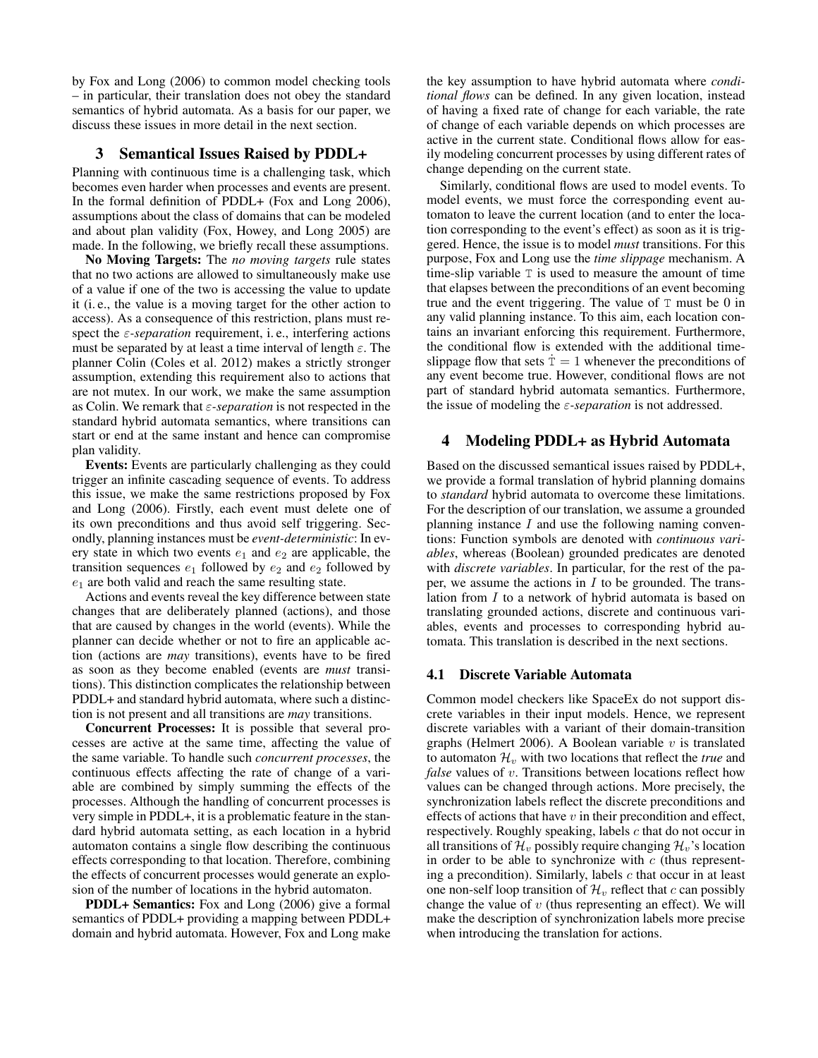by Fox and Long (2006) to common model checking tools – in particular, their translation does not obey the standard semantics of hybrid automata. As a basis for our paper, we discuss these issues in more detail in the next section.

# 3 Semantical Issues Raised by PDDL+

Planning with continuous time is a challenging task, which becomes even harder when processes and events are present. In the formal definition of PDDL+ (Fox and Long 2006), assumptions about the class of domains that can be modeled and about plan validity (Fox, Howey, and Long 2005) are made. In the following, we briefly recall these assumptions.

No Moving Targets: The *no moving targets* rule states that no two actions are allowed to simultaneously make use of a value if one of the two is accessing the value to update it (i. e., the value is a moving target for the other action to access). As a consequence of this restriction, plans must respect the  $\varepsilon$ -separation requirement, i.e., interfering actions must be separated by at least a time interval of length  $\varepsilon$ . The planner Colin (Coles et al. 2012) makes a strictly stronger assumption, extending this requirement also to actions that are not mutex. In our work, we make the same assumption as Colin. We remark that ε*-separation* is not respected in the standard hybrid automata semantics, where transitions can start or end at the same instant and hence can compromise plan validity.

Events: Events are particularly challenging as they could trigger an infinite cascading sequence of events. To address this issue, we make the same restrictions proposed by Fox and Long (2006). Firstly, each event must delete one of its own preconditions and thus avoid self triggering. Secondly, planning instances must be *event-deterministic*: In every state in which two events  $e_1$  and  $e_2$  are applicable, the transition sequences  $e_1$  followed by  $e_2$  and  $e_2$  followed by  $e_1$  are both valid and reach the same resulting state.

Actions and events reveal the key difference between state changes that are deliberately planned (actions), and those that are caused by changes in the world (events). While the planner can decide whether or not to fire an applicable action (actions are *may* transitions), events have to be fired as soon as they become enabled (events are *must* transitions). This distinction complicates the relationship between PDDL+ and standard hybrid automata, where such a distinction is not present and all transitions are *may* transitions.

Concurrent Processes: It is possible that several processes are active at the same time, affecting the value of the same variable. To handle such *concurrent processes*, the continuous effects affecting the rate of change of a variable are combined by simply summing the effects of the processes. Although the handling of concurrent processes is very simple in PDDL+, it is a problematic feature in the standard hybrid automata setting, as each location in a hybrid automaton contains a single flow describing the continuous effects corresponding to that location. Therefore, combining the effects of concurrent processes would generate an explosion of the number of locations in the hybrid automaton.

PDDL+ Semantics: Fox and Long (2006) give a formal semantics of PDDL+ providing a mapping between PDDL+ domain and hybrid automata. However, Fox and Long make

the key assumption to have hybrid automata where *conditional flows* can be defined. In any given location, instead of having a fixed rate of change for each variable, the rate of change of each variable depends on which processes are active in the current state. Conditional flows allow for easily modeling concurrent processes by using different rates of change depending on the current state.

Similarly, conditional flows are used to model events. To model events, we must force the corresponding event automaton to leave the current location (and to enter the location corresponding to the event's effect) as soon as it is triggered. Hence, the issue is to model *must* transitions. For this purpose, Fox and Long use the *time slippage* mechanism. A time-slip variable T is used to measure the amount of time that elapses between the preconditions of an event becoming true and the event triggering. The value of  $T$  must be 0 in any valid planning instance. To this aim, each location contains an invariant enforcing this requirement. Furthermore, the conditional flow is extended with the additional timeslippage flow that sets  $\dot{T} = 1$  whenever the preconditions of any event become true. However, conditional flows are not part of standard hybrid automata semantics. Furthermore, the issue of modeling the ε*-separation* is not addressed.

# 4 Modeling PDDL+ as Hybrid Automata

Based on the discussed semantical issues raised by PDDL+, we provide a formal translation of hybrid planning domains to *standard* hybrid automata to overcome these limitations. For the description of our translation, we assume a grounded planning instance  $I$  and use the following naming conventions: Function symbols are denoted with *continuous variables*, whereas (Boolean) grounded predicates are denoted with *discrete variables*. In particular, for the rest of the paper, we assume the actions in  $I$  to be grounded. The translation from I to a network of hybrid automata is based on translating grounded actions, discrete and continuous variables, events and processes to corresponding hybrid automata. This translation is described in the next sections.

## 4.1 Discrete Variable Automata

Common model checkers like SpaceEx do not support discrete variables in their input models. Hence, we represent discrete variables with a variant of their domain-transition graphs (Helmert 2006). A Boolean variable  $v$  is translated to automaton  $\mathcal{H}_v$  with two locations that reflect the *true* and *false* values of v. Transitions between locations reflect how values can be changed through actions. More precisely, the synchronization labels reflect the discrete preconditions and effects of actions that have  $v$  in their precondition and effect, respectively. Roughly speaking, labels  $c$  that do not occur in all transitions of  $\mathcal{H}_v$  possibly require changing  $\mathcal{H}_v$ 's location in order to be able to synchronize with  $c$  (thus representing a precondition). Similarly, labels  $c$  that occur in at least one non-self loop transition of  $\mathcal{H}_v$  reflect that c can possibly change the value of  $v$  (thus representing an effect). We will make the description of synchronization labels more precise when introducing the translation for actions.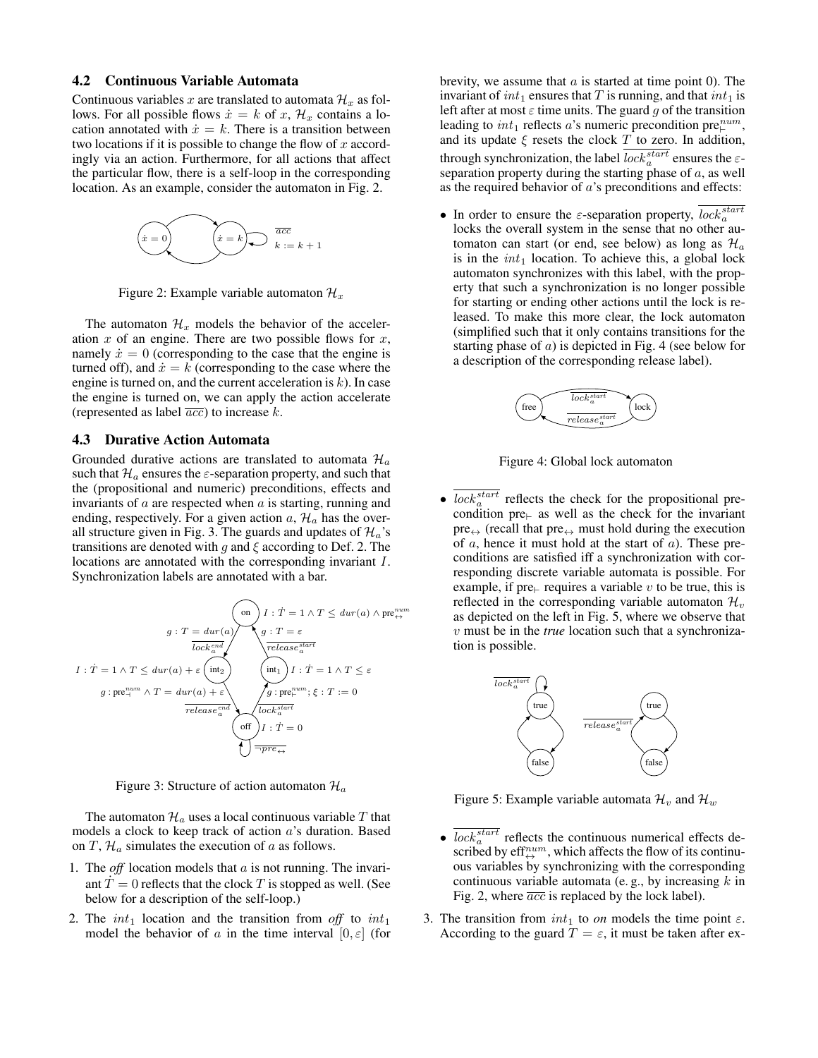#### 4.2 Continuous Variable Automata

Continuous variables x are translated to automata  $\mathcal{H}_x$  as follows. For all possible flows  $\dot{x} = k$  of x,  $\mathcal{H}_x$  contains a location annotated with  $\dot{x} = k$ . There is a transition between two locations if it is possible to change the flow of  $x$  accordingly via an action. Furthermore, for all actions that affect the particular flow, there is a self-loop in the corresponding location. As an example, consider the automaton in Fig. 2.



Figure 2: Example variable automaton  $\mathcal{H}_x$ 

The automaton  $\mathcal{H}_x$  models the behavior of the acceleration  $x$  of an engine. There are two possible flows for  $x$ , namely  $\dot{x} = 0$  (corresponding to the case that the engine is turned off), and  $\dot{x} = k$  (corresponding to the case where the engine is turned on, and the current acceleration is  $k$ ). In case the engine is turned on, we can apply the action accelerate (represented as label  $\overline{acc}$ ) to increase k.

# 4.3 Durative Action Automata

Grounded durative actions are translated to automata  $\mathcal{H}_a$ such that  $\mathcal{H}_a$  ensures the  $\varepsilon$ -separation property, and such that the (propositional and numeric) preconditions, effects and invariants of  $a$  are respected when  $a$  is starting, running and ending, respectively. For a given action  $a, \mathcal{H}_a$  has the overall structure given in Fig. 3. The guards and updates of  $\mathcal{H}_a$ 's transitions are denoted with g and  $\xi$  according to Def. 2. The locations are annotated with the corresponding invariant I. Synchronization labels are annotated with a bar.

$$
g: T = dur(a)
$$
\n
$$
g: T = dur(a)
$$
\n
$$
g: T = \varepsilon
$$
\n
$$
I: T = 1 \land T \leq dur(a) \land \text{pre}^{\text{num}}_{\leftrightarrow}
$$
\n
$$
I: T = 1 \land T \leq dur(a) + \varepsilon
$$
\n
$$
g: \text{pre}^{\text{num}}_{\rightarrow} \land T = dur(a) + \varepsilon
$$
\n
$$
rel \circ \text{release}^{\text{end}}_{\text{relcase}^{\text{end}}}
$$
\n
$$
\begin{array}{rcl}\n\text{(on)} & I: T = 1 \land T \leq dur(a) \land \text{pre}^{\text{num}}_{\leftrightarrow} \\
\text{(not)} & I: T = 1 \land T \leq \varepsilon \\
\text{(not)} & I: T = 1 \land T \leq \varepsilon \\
\text{(not)} & I: T = 0\n\end{array}
$$

Figure 3: Structure of action automaton  $\mathcal{H}_a$ 

The automaton  $\mathcal{H}_a$  uses a local continuous variable T that models a clock to keep track of action a's duration. Based on T,  $\mathcal{H}_a$  simulates the execution of a as follows.

- 1. The *off* location models that a is not running. The invariant  $T = 0$  reflects that the clock T is stopped as well. (See below for a description of the self-loop.)
- 2. The  $int_1$  location and the transition from *off* to  $int_1$ model the behavior of a in the time interval  $[0, \varepsilon]$  (for

brevity, we assume that  $a$  is started at time point 0). The invariant of  $int_1$  ensures that T is running, and that  $int_1$  is left after at most  $\varepsilon$  time units. The guard g of the transition leading to  $int_1$  reflects a's numeric precondition pre $l_+^{num}$ , and its update  $\xi$  resets the clock T to zero. In addition, through synchronization, the label  $lock_a^{start}$  ensures the  $\varepsilon$ separation property during the starting phase of  $a$ , as well as the required behavior of a's preconditions and effects:

• In order to ensure the  $\varepsilon$ -separation property,  $lock_a^{start}$ locks the overall system in the sense that no other automaton can start (or end, see below) as long as  $\mathcal{H}_a$ is in the  $int_1$  location. To achieve this, a global lock automaton synchronizes with this label, with the property that such a synchronization is no longer possible for starting or ending other actions until the lock is released. To make this more clear, the lock automaton (simplified such that it only contains transitions for the starting phase of  $a$ ) is depicted in Fig. 4 (see below for a description of the corresponding release label).



Figure 4: Global lock automaton

•  $\overline{lock_a^{start}}$  reflects the check for the propositional precondition pre $\vdash$  as well as the check for the invariant  $pre_{\leftrightarrow}$  (recall that  $pre_{\leftrightarrow}$  must hold during the execution of a, hence it must hold at the start of a). These preconditions are satisfied iff a synchronization with corresponding discrete variable automata is possible. For example, if pre $\vdash$  requires a variable v to be true, this is reflected in the corresponding variable automaton  $\mathcal{H}_v$ as depicted on the left in Fig. 5, where we observe that v must be in the *true* location such that a synchronization is possible.



Figure 5: Example variable automata  $\mathcal{H}_v$  and  $\mathcal{H}_w$ 

- $\bullet$   $\overline{lock}_a^{start}$  reflects the continuous numerical effects described by eff $\mathfrak{m}^{\hspace{-0.1em}mum}$ , which affects the flow of its continuous variables by synchronizing with the corresponding continuous variable automata (e.g., by increasing  $k$  in Fig. 2, where  $\overline{acc}$  is replaced by the lock label).
- 3. The transition from  $int_1$  to *on* models the time point  $\varepsilon$ . According to the guard  $T = \varepsilon$ , it must be taken after ex-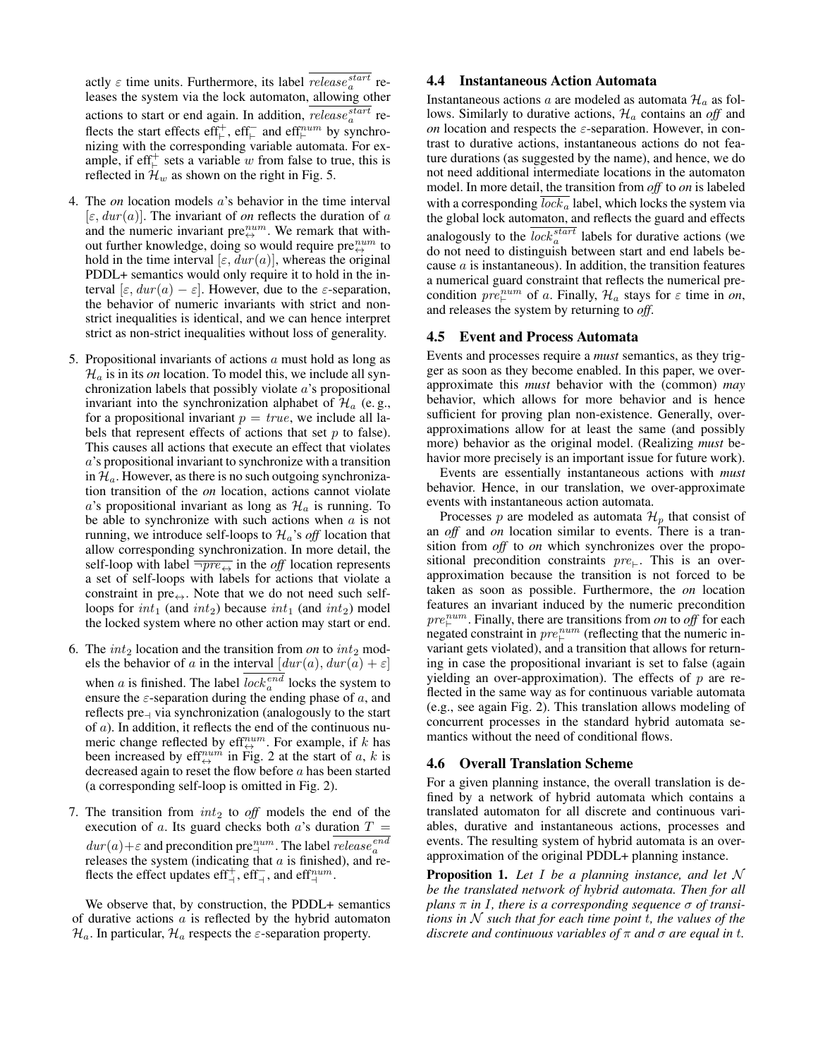actly  $\varepsilon$  time units. Furthermore, its label  $release_a^{start}$  releases the system via the lock automaton, allowing other actions to start or end again. In addition,  $release_a^{start}$  reflects the start effects eff<sup>+</sup><sub>+</sub>, eff<sup>-</sup><sub>+</sub> and eff<sup>num</sup> by synchronizing with the corresponding variable automata. For example, if  $\text{eff}_{\vdash}^+$  sets a variable w from false to true, this is reflected in  $\mathcal{H}_w$  as shown on the right in Fig. 5.

- 4. The *on* location models a's behavior in the time interval  $[\varepsilon, dur(a)]$ . The invariant of *on* reflects the duration of *a* and the numeric invariant pre $_{\leftrightarrow}^{num}$ . We remark that without further knowledge, doing so would require pre $_{\leftrightarrow}^{num}$  to hold in the time interval [ $\varepsilon$ ,  $dur(a)$ ], whereas the original PDDL+ semantics would only require it to hold in the interval  $[\varepsilon, dur(a) - \varepsilon]$ . However, due to the  $\varepsilon$ -separation, the behavior of numeric invariants with strict and nonstrict inequalities is identical, and we can hence interpret strict as non-strict inequalities without loss of generality.
- 5. Propositional invariants of actions  $\alpha$  must hold as long as  $\mathcal{H}_a$  is in its *on* location. To model this, we include all synchronization labels that possibly violate a's propositional invariant into the synchronization alphabet of  $\mathcal{H}_a$  (e.g., for a propositional invariant  $p = true$ , we include all labels that represent effects of actions that set  $p$  to false). This causes all actions that execute an effect that violates a's propositional invariant to synchronize with a transition in  $\mathcal{H}_a$ . However, as there is no such outgoing synchronization transition of the *on* location, actions cannot violate a's propositional invariant as long as  $\mathcal{H}_a$  is running. To be able to synchronize with such actions when  $a$  is not running, we introduce self-loops to  $\mathcal{H}_a$ 's *off* location that allow corresponding synchronization. In more detail, the self-loop with label  $\overline{\neg pre_{\leftrightarrow}}$  in the *off* location represents a set of self-loops with labels for actions that violate a constraint in pre $\leftrightarrow$ . Note that we do not need such selfloops for  $int_1$  (and  $int_2$ ) because  $int_1$  (and  $int_2$ ) model the locked system where no other action may start or end.
- 6. The  $int_2$  location and the transition from *on* to  $int_2$  models the behavior of a in the interval  $[dur(a), dur(a) + \varepsilon]$ when a is finished. The label  $lock_a^{end}$  locks the system to ensure the  $\varepsilon$ -separation during the ending phase of a, and reflects pre $\rightarrow$  via synchronization (analogously to the start of a). In addition, it reflects the end of the continuous numeric change reflected by eff<sup>num</sup>. For example, if k has been increased by eff<sup>num</sup> in Fig. 2 at the start of a, k is decreased again to reset the flow before a has been started (a corresponding self-loop is omitted in Fig. 2).
- 7. The transition from  $int_2$  to *off* models the end of the execution of a. Its guard checks both a's duration  $T =$  $dur(a)+\varepsilon$  and precondition pre $_+^{num}$ . The label  $release_a^{end}$ releases the system (indicating that  $a$  is finished), and reflects the effect updates eff<sup>+</sup><sub>+</sub>, eff<sup>-</sup><sub>+</sub>, and eff<sup>num</sup>.

We observe that, by construction, the PDDL+ semantics of durative actions  $a$  is reflected by the hybrid automaton  $\mathcal{H}_a$ . In particular,  $\mathcal{H}_a$  respects the  $\varepsilon$ -separation property.

### 4.4 Instantaneous Action Automata

Instantaneous actions a are modeled as automata  $\mathcal{H}_a$  as follows. Similarly to durative actions,  $\mathcal{H}_a$  contains an *off* and *on* location and respects the  $\varepsilon$ -separation. However, in contrast to durative actions, instantaneous actions do not feature durations (as suggested by the name), and hence, we do not need additional intermediate locations in the automaton model. In more detail, the transition from *off* to *on* is labeled with a corresponding  $\overline{lock_a}$  label, which locks the system via the global lock automaton, and reflects the guard and effects analogously to the  $lock_a^{start}$  labels for durative actions (we do not need to distinguish between start and end labels because  $a$  is instantaneous). In addition, the transition features a numerical guard constraint that reflects the numerical precondition  $pre_{\vdash}^{num}$  of a. Finally,  $\mathcal{H}_a$  stays for  $\varepsilon$  time in on, and releases the system by returning to *off*.

#### 4.5 Event and Process Automata

Events and processes require a *must* semantics, as they trigger as soon as they become enabled. In this paper, we overapproximate this *must* behavior with the (common) *may* behavior, which allows for more behavior and is hence sufficient for proving plan non-existence. Generally, overapproximations allow for at least the same (and possibly more) behavior as the original model. (Realizing *must* behavior more precisely is an important issue for future work).

Events are essentially instantaneous actions with *must* behavior. Hence, in our translation, we over-approximate events with instantaneous action automata.

Processes p are modeled as automata  $\mathcal{H}_p$  that consist of an *off* and *on* location similar to events. There is a transition from *off* to *on* which synchronizes over the propositional precondition constraints  $pre_{\vdash}$ . This is an overapproximation because the transition is not forced to be taken as soon as possible. Furthermore, the *on* location features an invariant induced by the numeric precondition  $pre_{\vdash}^{num}$ . Finally, there are transitions from *on* to *off* for each negated constraint in  $pre_{\vdash}^{num}$  (reflecting that the numeric invariant gets violated), and a transition that allows for returning in case the propositional invariant is set to false (again yielding an over-approximation). The effects of  $p$  are reflected in the same way as for continuous variable automata (e.g., see again Fig. 2). This translation allows modeling of concurrent processes in the standard hybrid automata semantics without the need of conditional flows.

### 4.6 Overall Translation Scheme

For a given planning instance, the overall translation is defined by a network of hybrid automata which contains a translated automaton for all discrete and continuous variables, durative and instantaneous actions, processes and events. The resulting system of hybrid automata is an overapproximation of the original PDDL+ planning instance.

Proposition 1. *Let* I *be a planning instance, and let* N *be the translated network of hybrid automata. Then for all plans*  $\pi$  *in I, there is a corresponding sequence*  $\sigma$  *of transitions in*  $N$  *such that for each time point t, the values of the discrete and continuous variables of* π *and* σ *are equal in* t*.*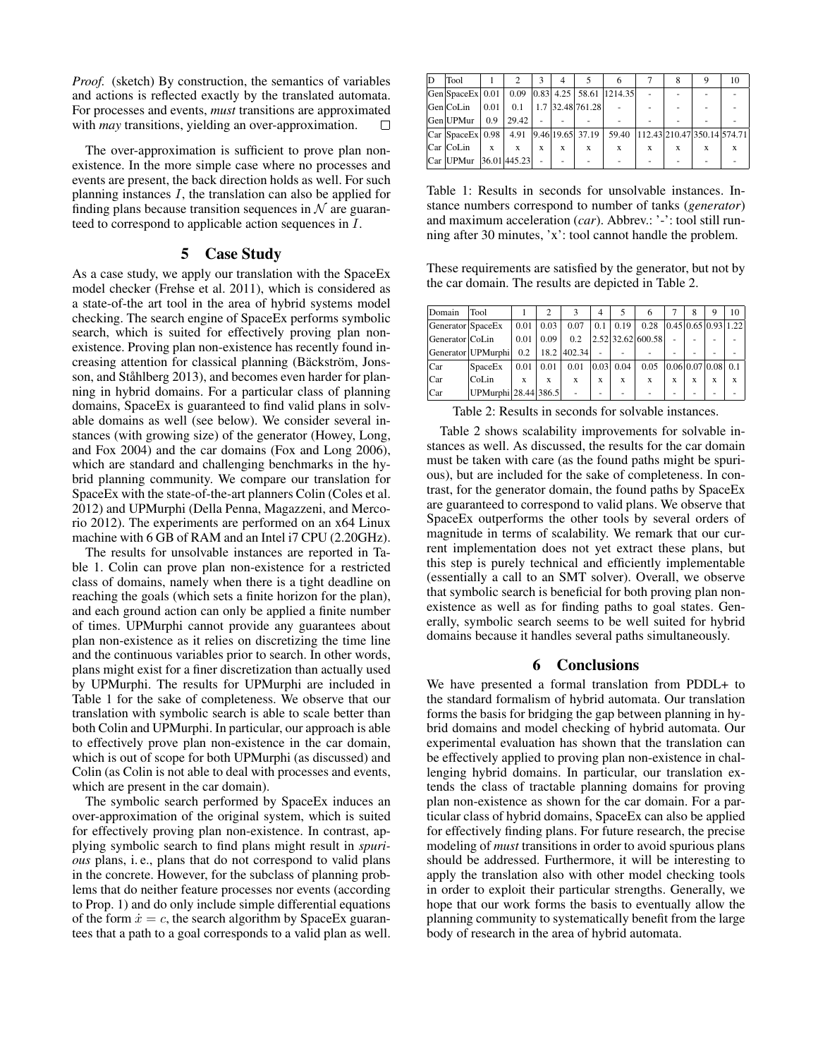*Proof.* (sketch) By construction, the semantics of variables and actions is reflected exactly by the translated automata. For processes and events, *must* transitions are approximated with *may* transitions, yielding an over-approximation. n

The over-approximation is sufficient to prove plan nonexistence. In the more simple case where no processes and events are present, the back direction holds as well. For such planning instances  $I$ , the translation can also be applied for finding plans because transition sequences in  $N$  are guaranteed to correspond to applicable action sequences in I.

# 5 Case Study

As a case study, we apply our translation with the SpaceEx model checker (Frehse et al. 2011), which is considered as a state-of-the art tool in the area of hybrid systems model checking. The search engine of SpaceEx performs symbolic search, which is suited for effectively proving plan nonexistence. Proving plan non-existence has recently found increasing attention for classical planning (Bäckström, Jonsson, and Ståhlberg 2013), and becomes even harder for planning in hybrid domains. For a particular class of planning domains, SpaceEx is guaranteed to find valid plans in solvable domains as well (see below). We consider several instances (with growing size) of the generator (Howey, Long, and Fox 2004) and the car domains (Fox and Long 2006), which are standard and challenging benchmarks in the hybrid planning community. We compare our translation for SpaceEx with the state-of-the-art planners Colin (Coles et al. 2012) and UPMurphi (Della Penna, Magazzeni, and Mercorio 2012). The experiments are performed on an x64 Linux machine with 6 GB of RAM and an Intel i7 CPU (2.20GHz).

The results for unsolvable instances are reported in Table 1. Colin can prove plan non-existence for a restricted class of domains, namely when there is a tight deadline on reaching the goals (which sets a finite horizon for the plan), and each ground action can only be applied a finite number of times. UPMurphi cannot provide any guarantees about plan non-existence as it relies on discretizing the time line and the continuous variables prior to search. In other words, plans might exist for a finer discretization than actually used by UPMurphi. The results for UPMurphi are included in Table 1 for the sake of completeness. We observe that our translation with symbolic search is able to scale better than both Colin and UPMurphi. In particular, our approach is able to effectively prove plan non-existence in the car domain, which is out of scope for both UPMurphi (as discussed) and Colin (as Colin is not able to deal with processes and events, which are present in the car domain).

The symbolic search performed by SpaceEx induces an over-approximation of the original system, which is suited for effectively proving plan non-existence. In contrast, applying symbolic search to find plans might result in *spurious* plans, i. e., plans that do not correspond to valid plans in the concrete. However, for the subclass of planning problems that do neither feature processes nor events (according to Prop. 1) and do only include simple differential equations of the form  $\dot{x} = c$ , the search algorithm by SpaceEx guarantees that a path to a goal corresponds to a valid plan as well.

| lD | <b>Tool</b>                                                 |              | 2           |   | 4           |                              |                                   |              |   | 9 | 10 |
|----|-------------------------------------------------------------|--------------|-------------|---|-------------|------------------------------|-----------------------------------|--------------|---|---|----|
|    | $ Gen SpaceEx $ 0.01   0.09 $ 0.83 $ 4.25   58.61   1214.35 |              |             |   |             |                              |                                   |              |   |   |    |
|    | Gen CoLin                                                   | $\vert$ 0.01 |             |   |             | $0.1$   1.7   32.48   761.28 |                                   |              |   |   |    |
|    | Gen UPMur   0.9                                             |              | 29.42       |   |             |                              |                                   |              |   |   |    |
|    | $ Car SpaceEx  0.98   4.91   9.46   19.65   37.19  $        |              |             |   |             |                              | 59.40 112.43 210.47 350.14 574.71 |              |   |   |    |
|    | Car CoLin                                                   | X            | $\mathbf x$ | X | $\mathbf x$ | $\mathbf x$                  | X                                 | $\mathbf{x}$ | X | X |    |
|    | Car UPMur 36.01 445.23                                      |              |             |   |             |                              |                                   |              |   |   |    |

Table 1: Results in seconds for unsolvable instances. Instance numbers correspond to number of tanks (*generator*) and maximum acceleration (*car*). Abbrev.: '-': tool still running after 30 minutes, 'x': tool cannot handle the problem.

These requirements are satisfied by the generator, but not by the car domain. The results are depicted in Table 2.

| Domain            | Tool                 |      |      |             | 4    | 5                  | 6                 |   | 8 | Q                   | 10 |
|-------------------|----------------------|------|------|-------------|------|--------------------|-------------------|---|---|---------------------|----|
| Generator SpaceEx |                      | 0.01 | 0.03 | 0.07        | 0.1  | $\vert 0.19 \vert$ | 0.28              |   |   | 0.45 0.65 0.93 1.22 |    |
| Generator CoLin   |                      | 0.01 | 0.09 | 0.2         |      |                    | 2.52 32.62 600.58 | ۰ | ۰ |                     |    |
|                   | Generator   UPMurphi | 0.2  |      | 18.2 402.34 |      |                    |                   |   |   |                     |    |
| Car               | SpaceEx              | 0.01 | 0.01 | 0.01        | 0.03 | 0.04               | 0.05              |   |   | 0.06 0.07 0.08 0.1  |    |
| lCar              | Col.in               | X    | X    | X           | X    | X                  | X                 | X | X | X                   | X  |
| Car               | UPMurphi 28.44 386.5 |      |      |             |      |                    |                   |   |   |                     |    |

Table 2: Results in seconds for solvable instances.

Table 2 shows scalability improvements for solvable instances as well. As discussed, the results for the car domain must be taken with care (as the found paths might be spurious), but are included for the sake of completeness. In contrast, for the generator domain, the found paths by SpaceEx are guaranteed to correspond to valid plans. We observe that SpaceEx outperforms the other tools by several orders of magnitude in terms of scalability. We remark that our current implementation does not yet extract these plans, but this step is purely technical and efficiently implementable (essentially a call to an SMT solver). Overall, we observe that symbolic search is beneficial for both proving plan nonexistence as well as for finding paths to goal states. Generally, symbolic search seems to be well suited for hybrid domains because it handles several paths simultaneously.

# 6 Conclusions

We have presented a formal translation from PDDL+ to the standard formalism of hybrid automata. Our translation forms the basis for bridging the gap between planning in hybrid domains and model checking of hybrid automata. Our experimental evaluation has shown that the translation can be effectively applied to proving plan non-existence in challenging hybrid domains. In particular, our translation extends the class of tractable planning domains for proving plan non-existence as shown for the car domain. For a particular class of hybrid domains, SpaceEx can also be applied for effectively finding plans. For future research, the precise modeling of *must* transitions in order to avoid spurious plans should be addressed. Furthermore, it will be interesting to apply the translation also with other model checking tools in order to exploit their particular strengths. Generally, we hope that our work forms the basis to eventually allow the planning community to systematically benefit from the large body of research in the area of hybrid automata.